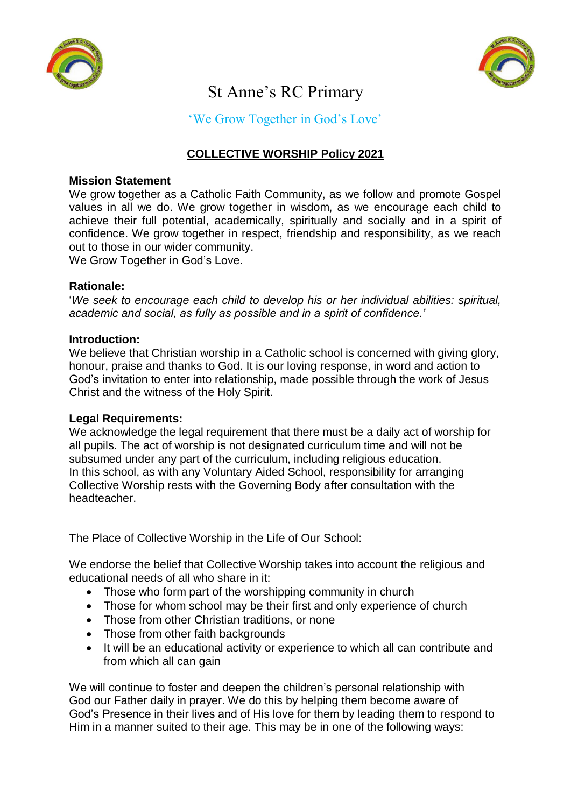



# St Anne's RC Primary

'We Grow Together in God's Love'

# **COLLECTIVE WORSHIP Policy 2021**

## **Mission Statement**

We grow together as a Catholic Faith Community, as we follow and promote Gospel values in all we do. We grow together in wisdom, as we encourage each child to achieve their full potential, academically, spiritually and socially and in a spirit of confidence. We grow together in respect, friendship and responsibility, as we reach out to those in our wider community.

We Grow Together in God's Love.

## **Rationale:**

'*We seek to encourage each child to develop his or her individual abilities: spiritual, academic and social, as fully as possible and in a spirit of confidence.'* 

## **Introduction:**

We believe that Christian worship in a Catholic school is concerned with giving glory, honour, praise and thanks to God. It is our loving response, in word and action to God's invitation to enter into relationship, made possible through the work of Jesus Christ and the witness of the Holy Spirit.

## **Legal Requirements:**

We acknowledge the legal requirement that there must be a daily act of worship for all pupils. The act of worship is not designated curriculum time and will not be subsumed under any part of the curriculum, including religious education. In this school, as with any Voluntary Aided School, responsibility for arranging Collective Worship rests with the Governing Body after consultation with the headteacher.

The Place of Collective Worship in the Life of Our School:

We endorse the belief that Collective Worship takes into account the religious and educational needs of all who share in it:

- Those who form part of the worshipping community in church
- Those for whom school may be their first and only experience of church
- Those from other Christian traditions, or none
- Those from other faith backgrounds
- It will be an educational activity or experience to which all can contribute and from which all can gain

We will continue to foster and deepen the children's personal relationship with God our Father daily in prayer. We do this by helping them become aware of God's Presence in their lives and of His love for them by leading them to respond to Him in a manner suited to their age. This may be in one of the following ways: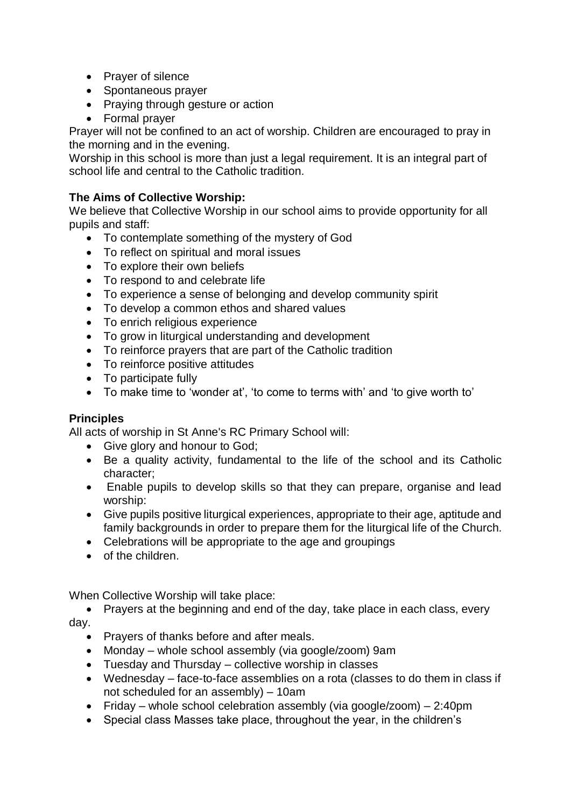- Prayer of silence
- Spontaneous prayer
- Praying through gesture or action
- Formal prayer

Prayer will not be confined to an act of worship. Children are encouraged to pray in the morning and in the evening.

Worship in this school is more than just a legal requirement. It is an integral part of school life and central to the Catholic tradition.

# **The Aims of Collective Worship:**

We believe that Collective Worship in our school aims to provide opportunity for all pupils and staff:

- To contemplate something of the mystery of God
- To reflect on spiritual and moral issues
- To explore their own beliefs
- To respond to and celebrate life
- To experience a sense of belonging and develop community spirit
- To develop a common ethos and shared values
- To enrich religious experience
- To grow in liturgical understanding and development
- To reinforce prayers that are part of the Catholic tradition
- To reinforce positive attitudes
- To participate fully
- To make time to 'wonder at', 'to come to terms with' and 'to give worth to'

# **Principles**

All acts of worship in St Anne's RC Primary School will:

- Give glory and honour to God;
- Be a quality activity, fundamental to the life of the school and its Catholic character;
- Enable pupils to develop skills so that they can prepare, organise and lead worship:
- Give pupils positive liturgical experiences, appropriate to their age, aptitude and family backgrounds in order to prepare them for the liturgical life of the Church.
- Celebrations will be appropriate to the age and groupings
- of the children.

When Collective Worship will take place:

• Prayers at the beginning and end of the day, take place in each class, every day.

- Prayers of thanks before and after meals.
- Monday whole school assembly (via google/zoom) 9am
- Tuesday and Thursday collective worship in classes
- Wednesday face-to-face assemblies on a rota (classes to do them in class if not scheduled for an assembly) – 10am
- Friday whole school celebration assembly (via google/zoom) 2:40pm
- Special class Masses take place, throughout the year, in the children's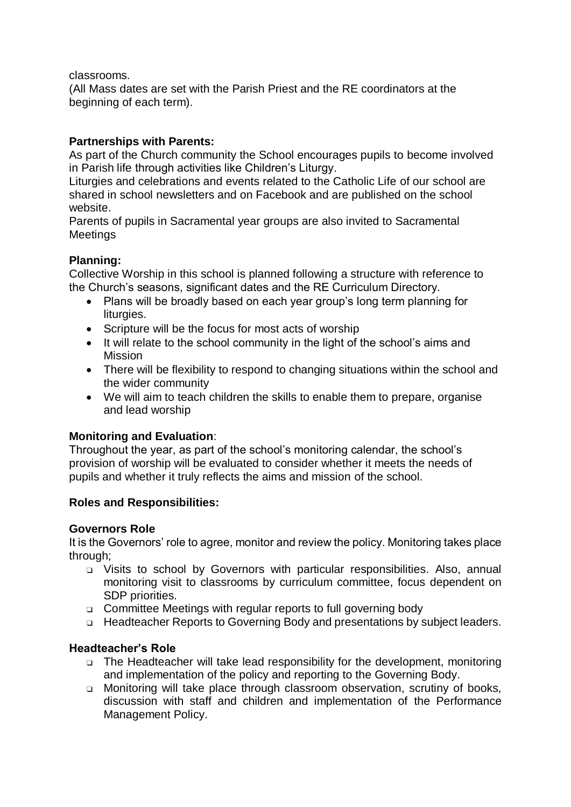classrooms.

(All Mass dates are set with the Parish Priest and the RE coordinators at the beginning of each term).

# **Partnerships with Parents:**

As part of the Church community the School encourages pupils to become involved in Parish life through activities like Children's Liturgy.

Liturgies and celebrations and events related to the Catholic Life of our school are shared in school newsletters and on Facebook and are published on the school website.

Parents of pupils in Sacramental year groups are also invited to Sacramental Meetings

# **Planning:**

Collective Worship in this school is planned following a structure with reference to the Church's seasons, significant dates and the RE Curriculum Directory.

- Plans will be broadly based on each year group's long term planning for liturgies.
- Scripture will be the focus for most acts of worship
- It will relate to the school community in the light of the school's aims and **Mission**
- There will be flexibility to respond to changing situations within the school and the wider community
- We will aim to teach children the skills to enable them to prepare, organise and lead worship

# **Monitoring and Evaluation**:

Throughout the year, as part of the school's monitoring calendar, the school's provision of worship will be evaluated to consider whether it meets the needs of pupils and whether it truly reflects the aims and mission of the school.

# **Roles and Responsibilities:**

# **Governors Role**

It is the Governors' role to agree, monitor and review the policy. Monitoring takes place through;

- ❑ Visits to school by Governors with particular responsibilities. Also, annual monitoring visit to classrooms by curriculum committee, focus dependent on SDP priorities.
- ❑ Committee Meetings with regular reports to full governing body
- ❑ Headteacher Reports to Governing Body and presentations by subject leaders.

# **Headteacher's Role**

- ❑ The Headteacher will take lead responsibility for the development, monitoring and implementation of the policy and reporting to the Governing Body.
- ❑ Monitoring will take place through classroom observation, scrutiny of books, discussion with staff and children and implementation of the Performance Management Policy.